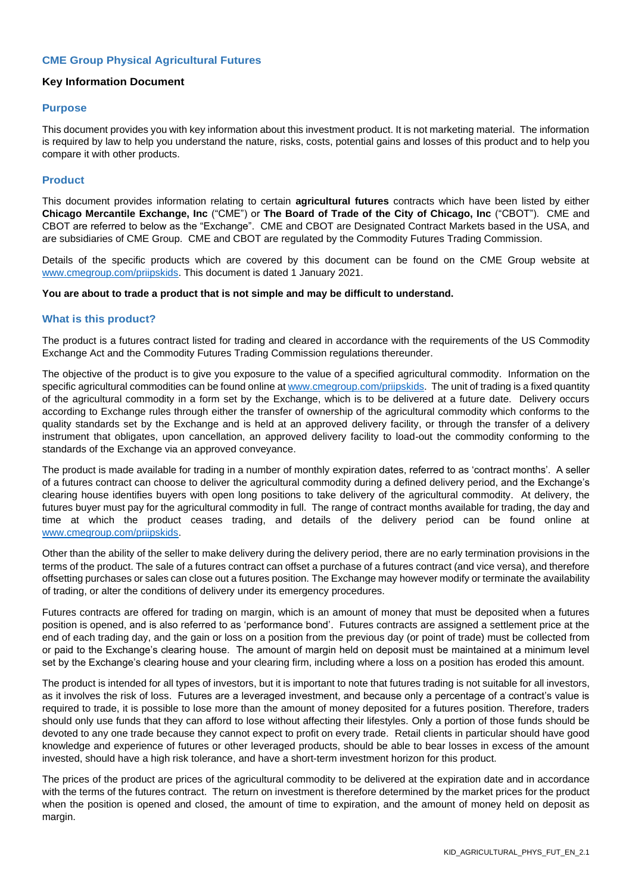# **CME Group Physical Agricultural Futures**

# **Key Information Document**

# **Purpose**

This document provides you with key information about this investment product. It is not marketing material. The information is required by law to help you understand the nature, risks, costs, potential gains and losses of this product and to help you compare it with other products.

# **Product**

This document provides information relating to certain **agricultural futures** contracts which have been listed by either **Chicago Mercantile Exchange, Inc** ("CME") or **The Board of Trade of the City of Chicago, Inc** ("CBOT"). CME and CBOT are referred to below as the "Exchange". CME and CBOT are Designated Contract Markets based in the USA, and are subsidiaries of CME Group. CME and CBOT are regulated by the Commodity Futures Trading Commission.

Details of the specific products which are covered by this document can be found on the CME Group website at [www.cmegroup.com/priipskids.](http://www.cmegroup.com/priipskids) This document is dated 1 January 2021.

#### **You are about to trade a product that is not simple and may be difficult to understand.**

# **What is this product?**

The product is a futures contract listed for trading and cleared in accordance with the requirements of the US Commodity Exchange Act and the Commodity Futures Trading Commission regulations thereunder.

The objective of the product is to give you exposure to the value of a specified agricultural commodity. Information on the specific agricultural commodities can be found online a[t www.cmegroup.com/priipskids.](http://www.cmegroup.com/priipskids) The unit of trading is a fixed quantity of the agricultural commodity in a form set by the Exchange, which is to be delivered at a future date. Delivery occurs according to Exchange rules through either the transfer of ownership of the agricultural commodity which conforms to the quality standards set by the Exchange and is held at an approved delivery facility, or through the transfer of a delivery instrument that obligates, upon cancellation, an approved delivery facility to load-out the commodity conforming to the standards of the Exchange via an approved conveyance.

The product is made available for trading in a number of monthly expiration dates, referred to as 'contract months'. A seller of a futures contract can choose to deliver the agricultural commodity during a defined delivery period, and the Exchange's clearing house identifies buyers with open long positions to take delivery of the agricultural commodity. At delivery, the futures buyer must pay for the agricultural commodity in full. The range of contract months available for trading, the day and time at which the product ceases trading, and details of the delivery period can be found online at [www.cmegroup.com/priipskids.](http://www.cmegroup.com/priipskids)

Other than the ability of the seller to make delivery during the delivery period, there are no early termination provisions in the terms of the product. The sale of a futures contract can offset a purchase of a futures contract (and vice versa), and therefore offsetting purchases or sales can close out a futures position. The Exchange may however modify or terminate the availability of trading, or alter the conditions of delivery under its emergency procedures.

Futures contracts are offered for trading on margin, which is an amount of money that must be deposited when a futures position is opened, and is also referred to as 'performance bond'. Futures contracts are assigned a settlement price at the end of each trading day, and the gain or loss on a position from the previous day (or point of trade) must be collected from or paid to the Exchange's clearing house. The amount of margin held on deposit must be maintained at a minimum level set by the Exchange's clearing house and your clearing firm, including where a loss on a position has eroded this amount.

The product is intended for all types of investors, but it is important to note that futures trading is not suitable for all investors, as it involves the risk of loss. Futures are a leveraged investment, and because only a percentage of a contract's value is required to trade, it is possible to lose more than the amount of money deposited for a futures position. Therefore, traders should only use funds that they can afford to lose without affecting their lifestyles. Only a portion of those funds should be devoted to any one trade because they cannot expect to profit on every trade. Retail clients in particular should have good knowledge and experience of futures or other leveraged products, should be able to bear losses in excess of the amount invested, should have a high risk tolerance, and have a short-term investment horizon for this product.

The prices of the product are prices of the agricultural commodity to be delivered at the expiration date and in accordance with the terms of the futures contract. The return on investment is therefore determined by the market prices for the product when the position is opened and closed, the amount of time to expiration, and the amount of money held on deposit as margin.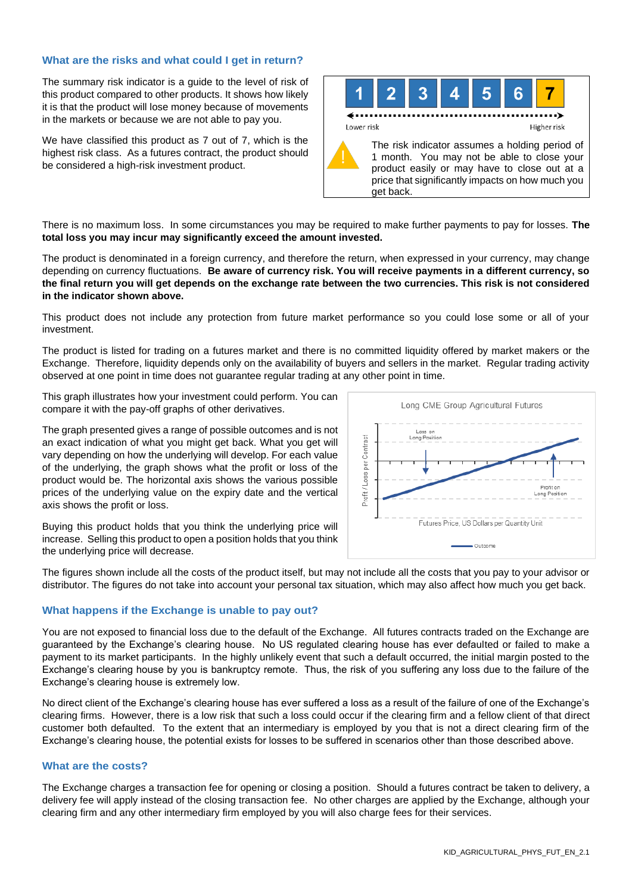# **What are the risks and what could I get in return?**

The summary risk indicator is a guide to the level of risk of this product compared to other products. It shows how likely it is that the product will lose money because of movements in the markets or because we are not able to pay you.

We have classified this product as 7 out of 7, which is the highest risk class. As a futures contract, the product should be considered a high-risk investment product.



There is no maximum loss. In some circumstances you may be required to make further payments to pay for losses. **The total loss you may incur may significantly exceed the amount invested.**

The product is denominated in a foreign currency, and therefore the return, when expressed in your currency, may change depending on currency fluctuations. **Be aware of currency risk. You will receive payments in a different currency, so the final return you will get depends on the exchange rate between the two currencies. This risk is not considered in the indicator shown above.**

This product does not include any protection from future market performance so you could lose some or all of your investment.

The product is listed for trading on a futures market and there is no committed liquidity offered by market makers or the Exchange. Therefore, liquidity depends only on the availability of buyers and sellers in the market. Regular trading activity observed at one point in time does not guarantee regular trading at any other point in time.

This graph illustrates how your investment could perform. You can compare it with the pay-off graphs of other derivatives.

The graph presented gives a range of possible outcomes and is not an exact indication of what you might get back. What you get will vary depending on how the underlying will develop. For each value of the underlying, the graph shows what the profit or loss of the product would be. The horizontal axis shows the various possible prices of the underlying value on the expiry date and the vertical axis shows the profit or loss.



Buying this product holds that you think the underlying price will increase. Selling this product to open a position holds that you think the underlying price will decrease.

The figures shown include all the costs of the product itself, but may not include all the costs that you pay to your advisor or distributor. The figures do not take into account your personal tax situation, which may also affect how much you get back.

# **What happens if the Exchange is unable to pay out?**

You are not exposed to financial loss due to the default of the Exchange. All futures contracts traded on the Exchange are guaranteed by the Exchange's clearing house. No US regulated clearing house has ever defaulted or failed to make a payment to its market participants. In the highly unlikely event that such a default occurred, the initial margin posted to the Exchange's clearing house by you is bankruptcy remote. Thus, the risk of you suffering any loss due to the failure of the Exchange's clearing house is extremely low.

No direct client of the Exchange's clearing house has ever suffered a loss as a result of the failure of one of the Exchange's clearing firms. However, there is a low risk that such a loss could occur if the clearing firm and a fellow client of that direct customer both defaulted. To the extent that an intermediary is employed by you that is not a direct clearing firm of the Exchange's clearing house, the potential exists for losses to be suffered in scenarios other than those described above.

# **What are the costs?**

The Exchange charges a transaction fee for opening or closing a position. Should a futures contract be taken to delivery, a delivery fee will apply instead of the closing transaction fee. No other charges are applied by the Exchange, although your clearing firm and any other intermediary firm employed by you will also charge fees for their services.